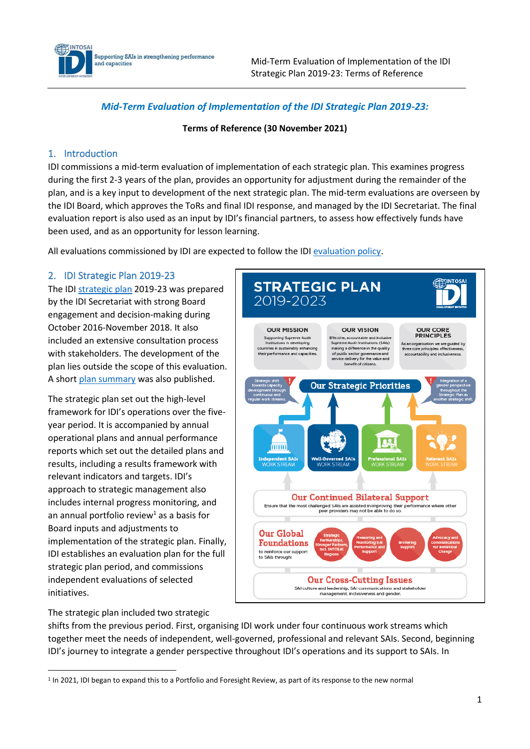

Mid-Term Evaluation of Implementation of the IDI Strategic Plan 2019-23: Terms of Reference

# *Mid-Term Evaluation of Implementation of the IDI Strategic Plan 2019-23:*

#### **Terms of Reference (30 November 2021)**

## 1. Introduction

IDI commissions a mid-term evaluation of implementation of each strategic plan. This examines progress during the first 2-3 years of the plan, provides an opportunity for adjustment during the remainder of the plan, and is a key input to development of the next strategic plan. The mid-term evaluations are overseen by the IDI Board, which approves the ToRs and final IDI response, and managed by the IDI Secretariat. The final evaluation report is also used as an input by IDI's financial partners, to assess how effectively funds have been used, and as an opportunity for lesson learning.

All evaluations commissioned by IDI are expected to follow the IDI [evaluation policy.](https://idi.no/elibrary/idi-administrative/policies/1071-idi-evaluation-policy-and-guidance-v1-0-27-nov-2019/file)

## 2. IDI Strategic Plan 2019-23

The IDI [strategic plan](https://idi.no/elibrary/idi-plans/strategic-plans/878-idi-strategic-plan-2019-2023/file) 2019-23 was prepared by the IDI Secretariat with strong Board engagement and decision-making during October 2016-November 2018. It also included an extensive consultation process with stakeholders. The development of the plan lies outside the scope of this evaluation. A shor[t plan summary](https://idi.no/elibrary/idi-plans/strategic-plans/941-strategic-plan-infographic/file) was also published.

The strategic plan set out the high-level framework for IDI's operations over the fiveyear period. It is accompanied by annual operational plans and annual performance reports which set out the detailed plans and results, including a results framework with relevant indicators and targets. IDI's approach to strategic management also includes internal progress monitoring, and an annual portfolio review<sup>1</sup> as a basis for Board inputs and adjustments to implementation of the strategic plan. Finally, IDI establishes an evaluation plan for the full strategic plan period, and commissions independent evaluations of selected initiatives.

**STRATEGIC PLAN** 2019-2023 **OUR MISSION OUR VISION OUD COPE** PRINCIPLES Supporting Supreme Audit<br>Institutions in developing<br>Intries in sustainably enhancing .<br>Effective, accountable and inclusive<br>Supreme Audit Institutions (SAIs) As an organisation we are guided by<br>three core principles: effectiveness, ing a difference in the quality their performance and capacities of public sector governance and<br>service delivery for the value and accountability and including benefit of citize **Our Strategic Priorities** o mmi pendent SAIs **Well-Governed SATs Our Continued Bilateral Support** Ensure that the most challenged SAIs are assisted in improving their performance where other<br>peer providers may not be able to do so. **Our Global Foundations** to reinforce our support<br>to SAIs through: **Our Cross-Cutting Issues** SAI culture and leadership, SAI communications and stakeholder management, inclusiveness and gender

The strategic plan included two strategic

shifts from the previous period. First, organising IDI work under four continuous work streams which together meet the needs of independent, well-governed, professional and relevant SAIs. Second, beginning IDI's journey to integrate a gender perspective throughout IDI's operations and its support to SAIs. In

<sup>&</sup>lt;sup>1</sup> In 2021, IDI began to expand this to a Portfolio and Foresight Review, as part of its response to the new normal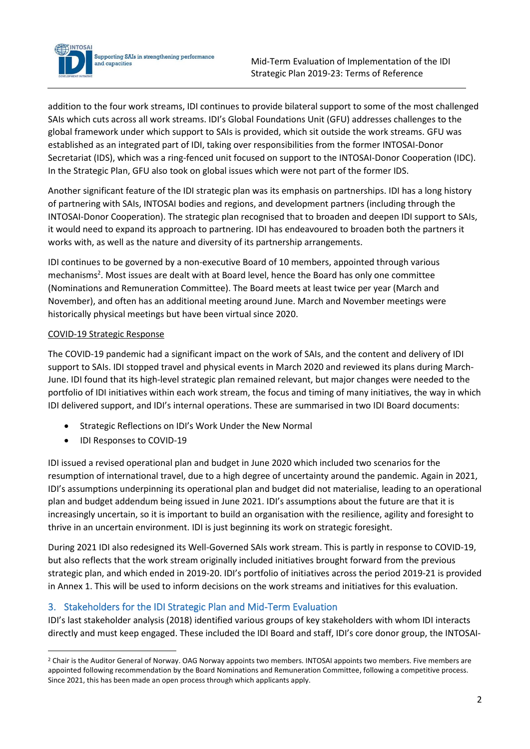

addition to the four work streams, IDI continues to provide bilateral support to some of the most challenged SAIs which cuts across all work streams. IDI's Global Foundations Unit (GFU) addresses challenges to the global framework under which support to SAIs is provided, which sit outside the work streams. GFU was established as an integrated part of IDI, taking over responsibilities from the former INTOSAI-Donor Secretariat (IDS), which was a ring-fenced unit focused on support to the INTOSAI-Donor Cooperation (IDC). In the Strategic Plan, GFU also took on global issues which were not part of the former IDS.

Another significant feature of the IDI strategic plan was its emphasis on partnerships. IDI has a long history of partnering with SAIs, INTOSAI bodies and regions, and development partners (including through the INTOSAI-Donor Cooperation). The strategic plan recognised that to broaden and deepen IDI support to SAIs, it would need to expand its approach to partnering. IDI has endeavoured to broaden both the partners it works with, as well as the nature and diversity of its partnership arrangements.

IDI continues to be governed by a non-executive Board of 10 members, appointed through various mechanisms<sup>2</sup>. Most issues are dealt with at Board level, hence the Board has only one committee (Nominations and Remuneration Committee). The Board meets at least twice per year (March and November), and often has an additional meeting around June. March and November meetings were historically physical meetings but have been virtual since 2020.

# COVID-19 Strategic Response

The COVID-19 pandemic had a significant impact on the work of SAIs, and the content and delivery of IDI support to SAIs. IDI stopped travel and physical events in March 2020 and reviewed its plans during March-June. IDI found that its high-level strategic plan remained relevant, but major changes were needed to the portfolio of IDI initiatives within each work stream, the focus and timing of many initiatives, the way in which IDI delivered support, and IDI's internal operations. These are summarised in two IDI Board documents:

- Strategic Reflections on IDI's Work Under the New Normal
- IDI Responses to COVID-19

IDI issued a revised operational plan and budget in June 2020 which included two scenarios for the resumption of international travel, due to a high degree of uncertainty around the pandemic. Again in 2021, IDI's assumptions underpinning its operational plan and budget did not materialise, leading to an operational plan and budget addendum being issued in June 2021. IDI's assumptions about the future are that it is increasingly uncertain, so it is important to build an organisation with the resilience, agility and foresight to thrive in an uncertain environment. IDI is just beginning its work on strategic foresight.

During 2021 IDI also redesigned its Well-Governed SAIs work stream. This is partly in response to COVID-19, but also reflects that the work stream originally included initiatives brought forward from the previous strategic plan, and which ended in 2019-20. IDI's portfolio of initiatives across the period 2019-21 is provided in Annex 1. This will be used to inform decisions on the work streams and initiatives for this evaluation.

# 3. Stakeholders for the IDI Strategic Plan and Mid-Term Evaluation

IDI's last stakeholder analysis (2018) identified various groups of key stakeholders with whom IDI interacts directly and must keep engaged. These included the IDI Board and staff, IDI's core donor group, the INTOSAI-

<sup>&</sup>lt;sup>2</sup> Chair is the Auditor General of Norway. OAG Norway appoints two members. INTOSAI appoints two members. Five members are appointed following recommendation by the Board Nominations and Remuneration Committee, following a competitive process. Since 2021, this has been made an open process through which applicants apply.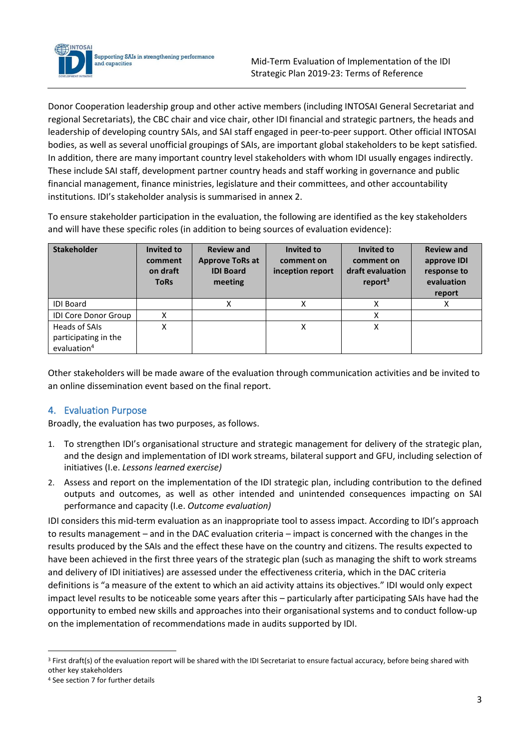

Supporting SAIs in strengthening performance and capacities

Donor Cooperation leadership group and other active members (including INTOSAI General Secretariat and regional Secretariats), the CBC chair and vice chair, other IDI financial and strategic partners, the heads and leadership of developing country SAIs, and SAI staff engaged in peer-to-peer support. Other official INTOSAI bodies, as well as several unofficial groupings of SAIs, are important global stakeholders to be kept satisfied. In addition, there are many important country level stakeholders with whom IDI usually engages indirectly. These include SAI staff, development partner country heads and staff working in governance and public financial management, finance ministries, legislature and their committees, and other accountability institutions. IDI's stakeholder analysis is summarised in annex 2.

To ensure stakeholder participation in the evaluation, the following are identified as the key stakeholders and will have these specific roles (in addition to being sources of evaluation evidence):

| <b>Stakeholder</b>                                               | Invited to<br>comment<br>on draft<br><b>ToRs</b> | <b>Review and</b><br><b>Approve ToRs at</b><br><b>IDI Board</b><br>meeting | Invited to<br>comment on<br>inception report | Invited to<br>comment on<br>draft evaluation<br>report $3$ | <b>Review and</b><br>approve IDI<br>response to<br>evaluation<br>report |
|------------------------------------------------------------------|--------------------------------------------------|----------------------------------------------------------------------------|----------------------------------------------|------------------------------------------------------------|-------------------------------------------------------------------------|
| <b>IDI Board</b>                                                 |                                                  | Χ                                                                          | Χ                                            | X                                                          | X                                                                       |
| <b>IDI Core Donor Group</b>                                      | X                                                |                                                                            |                                              | X                                                          |                                                                         |
| Heads of SAIs<br>participating in the<br>evaluation <sup>4</sup> | Χ                                                |                                                                            | Χ                                            | Χ                                                          |                                                                         |

Other stakeholders will be made aware of the evaluation through communication activities and be invited to an online dissemination event based on the final report.

# 4. Evaluation Purpose

Broadly, the evaluation has two purposes, as follows.

- 1. To strengthen IDI's organisational structure and strategic management for delivery of the strategic plan, and the design and implementation of IDI work streams, bilateral support and GFU, including selection of initiatives (I.e. *Lessons learned exercise)*
- 2. Assess and report on the implementation of the IDI strategic plan, including contribution to the defined outputs and outcomes, as well as other intended and unintended consequences impacting on SAI performance and capacity (I.e. *Outcome evaluation)*

IDI considers this mid-term evaluation as an inappropriate tool to assess impact. According to IDI's approach to results management – and in the DAC evaluation criteria – impact is concerned with the changes in the results produced by the SAIs and the effect these have on the country and citizens. The results expected to have been achieved in the first three years of the strategic plan (such as managing the shift to work streams and delivery of IDI initiatives) are assessed under the effectiveness criteria, which in the DAC criteria definitions is "a measure of the extent to which an aid activity attains its objectives." IDI would only expect impact level results to be noticeable some years after this – particularly after participating SAIs have had the opportunity to embed new skills and approaches into their organisational systems and to conduct follow-up on the implementation of recommendations made in audits supported by IDI.

<sup>&</sup>lt;sup>3</sup> First draft(s) of the evaluation report will be shared with the IDI Secretariat to ensure factual accuracy, before being shared with other key stakeholders

<sup>4</sup> See section 7 for further details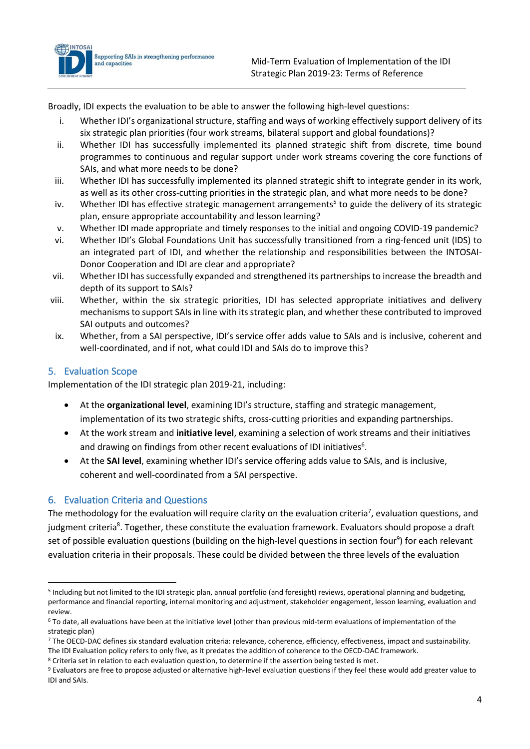

Broadly, IDI expects the evaluation to be able to answer the following high-level questions:

- i. Whether IDI's organizational structure, staffing and ways of working effectively support delivery of its six strategic plan priorities (four work streams, bilateral support and global foundations)?
- ii. Whether IDI has successfully implemented its planned strategic shift from discrete, time bound programmes to continuous and regular support under work streams covering the core functions of SAIs, and what more needs to be done?
- iii. Whether IDI has successfully implemented its planned strategic shift to integrate gender in its work, as well as its other cross-cutting priorities in the strategic plan, and what more needs to be done?
- iv. Whether IDI has effective strategic management arrangements<sup>5</sup> to guide the delivery of its strategic plan, ensure appropriate accountability and lesson learning?
- v. Whether IDI made appropriate and timely responses to the initial and ongoing COVID-19 pandemic?
- vi. Whether IDI's Global Foundations Unit has successfully transitioned from a ring-fenced unit (IDS) to an integrated part of IDI, and whether the relationship and responsibilities between the INTOSAI-Donor Cooperation and IDI are clear and appropriate?
- vii. Whether IDI has successfully expanded and strengthened its partnerships to increase the breadth and depth of its support to SAIs?
- viii. Whether, within the six strategic priorities, IDI has selected appropriate initiatives and delivery mechanisms to support SAIs in line with its strategic plan, and whether these contributed to improved SAI outputs and outcomes?
- ix. Whether, from a SAI perspective, IDI's service offer adds value to SAIs and is inclusive, coherent and well-coordinated, and if not, what could IDI and SAIs do to improve this?

## 5. Evaluation Scope

Implementation of the IDI strategic plan 2019-21, including:

- At the **organizational level**, examining IDI's structure, staffing and strategic management, implementation of its two strategic shifts, cross-cutting priorities and expanding partnerships.
- At the work stream and **initiative level**, examining a selection of work streams and their initiatives and drawing on findings from other recent evaluations of IDI initiatives<sup>6</sup>.
- At the **SAI level**, examining whether IDI's service offering adds value to SAIs, and is inclusive, coherent and well-coordinated from a SAI perspective.

## 6. Evaluation Criteria and Questions

The methodology for the evaluation will require clarity on the evaluation criteria<sup>7</sup>, evaluation questions, and judgment criteria<sup>8</sup>. Together, these constitute the evaluation framework. Evaluators should propose a draft set of possible evaluation questions (building on the high-level questions in section four<sup>9</sup>) for each relevant evaluation criteria in their proposals. These could be divided between the three levels of the evaluation

<sup>5</sup> Including but not limited to the IDI strategic plan, annual portfolio (and foresight) reviews, operational planning and budgeting, performance and financial reporting, internal monitoring and adjustment, stakeholder engagement, lesson learning, evaluation and review.

<sup>6</sup> To date, all evaluations have been at the initiative level (other than previous mid-term evaluations of implementation of the strategic plan)

<sup>&</sup>lt;sup>7</sup> The OECD-DAC defines six standard evaluation criteria: relevance, coherence, efficiency, effectiveness, impact and sustainability. The IDI Evaluation policy refers to only five, as it predates the addition of coherence to the OECD-DAC framework.

<sup>8</sup> Criteria set in relation to each evaluation question, to determine if the assertion being tested is met.

<sup>9</sup> Evaluators are free to propose adjusted or alternative high-level evaluation questions if they feel these would add greater value to IDI and SAIs.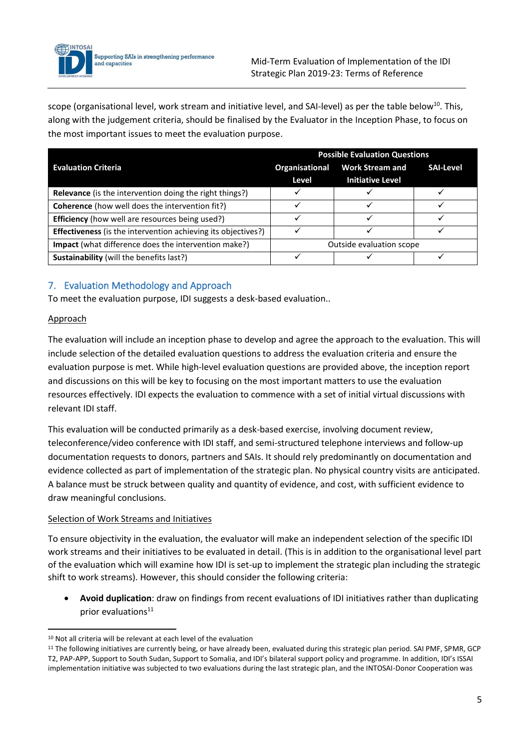

scope (organisational level, work stream and initiative level, and SAI-level) as per the table below<sup>10</sup>. This, along with the judgement criteria, should be finalised by the Evaluator in the Inception Phase, to focus on the most important issues to meet the evaluation purpose.

|                                                                      | <b>Possible Evaluation Questions</b> |                                                   |                  |  |  |
|----------------------------------------------------------------------|--------------------------------------|---------------------------------------------------|------------------|--|--|
| <b>Evaluation Criteria</b>                                           | Organisational<br>Level              | <b>Work Stream and</b><br><b>Initiative Level</b> | <b>SAI-Level</b> |  |  |
| <b>Relevance</b> (is the intervention doing the right things?)       |                                      |                                                   |                  |  |  |
| <b>Coherence</b> (how well does the intervention fit?)               |                                      |                                                   |                  |  |  |
| <b>Efficiency</b> (how well are resources being used?)               |                                      |                                                   |                  |  |  |
| <b>Effectiveness</b> (is the intervention achieving its objectives?) |                                      |                                                   |                  |  |  |
| <b>Impact</b> (what difference does the intervention make?)          | Outside evaluation scope             |                                                   |                  |  |  |
| Sustainability (will the benefits last?)                             |                                      |                                                   |                  |  |  |

# 7. Evaluation Methodology and Approach

To meet the evaluation purpose, IDI suggests a desk-based evaluation..

## Approach

The evaluation will include an inception phase to develop and agree the approach to the evaluation. This will include selection of the detailed evaluation questions to address the evaluation criteria and ensure the evaluation purpose is met. While high-level evaluation questions are provided above, the inception report and discussions on this will be key to focusing on the most important matters to use the evaluation resources effectively. IDI expects the evaluation to commence with a set of initial virtual discussions with relevant IDI staff.

This evaluation will be conducted primarily as a desk-based exercise, involving document review, teleconference/video conference with IDI staff, and semi-structured telephone interviews and follow-up documentation requests to donors, partners and SAIs. It should rely predominantly on documentation and evidence collected as part of implementation of the strategic plan. No physical country visits are anticipated. A balance must be struck between quality and quantity of evidence, and cost, with sufficient evidence to draw meaningful conclusions.

## Selection of Work Streams and Initiatives

To ensure objectivity in the evaluation, the evaluator will make an independent selection of the specific IDI work streams and their initiatives to be evaluated in detail. (This is in addition to the organisational level part of the evaluation which will examine how IDI is set-up to implement the strategic plan including the strategic shift to work streams). However, this should consider the following criteria:

• **Avoid duplication**: draw on findings from recent evaluations of IDI initiatives rather than duplicating prior evaluations<sup>11</sup>

<sup>10</sup> Not all criteria will be relevant at each level of the evaluation

<sup>&</sup>lt;sup>11</sup> The following initiatives are currently being, or have already been, evaluated during this strategic plan period. SAI PMF, SPMR, GCP T2, PAP-APP, Support to South Sudan, Support to Somalia, and IDI's bilateral support policy and programme. In addition, IDI's ISSAI implementation initiative was subjected to two evaluations during the last strategic plan, and the INTOSAI-Donor Cooperation was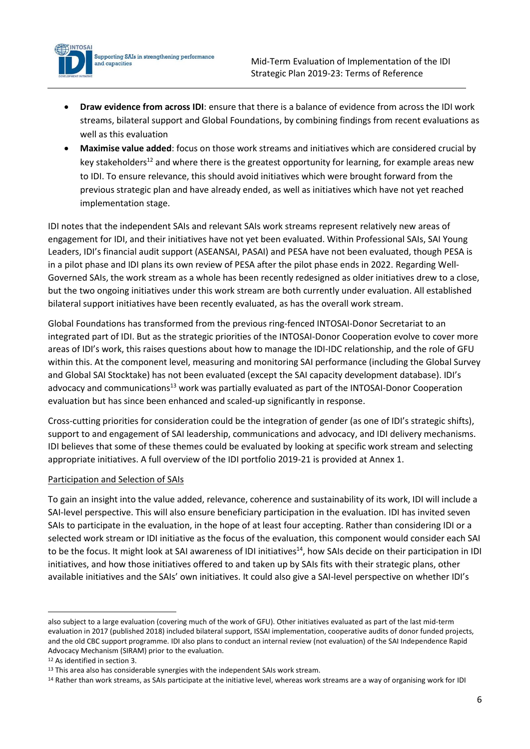

• **Draw evidence from across IDI**: ensure that there is a balance of evidence from across the IDI work streams, bilateral support and Global Foundations, by combining findings from recent evaluations as well as this evaluation

• **Maximise value added**: focus on those work streams and initiatives which are considered crucial by key stakeholders<sup>12</sup> and where there is the greatest opportunity for learning, for example areas new to IDI. To ensure relevance, this should avoid initiatives which were brought forward from the previous strategic plan and have already ended, as well as initiatives which have not yet reached implementation stage.

IDI notes that the independent SAIs and relevant SAIs work streams represent relatively new areas of engagement for IDI, and their initiatives have not yet been evaluated. Within Professional SAIs, SAI Young Leaders, IDI's financial audit support (ASEANSAI, PASAI) and PESA have not been evaluated, though PESA is in a pilot phase and IDI plans its own review of PESA after the pilot phase ends in 2022. Regarding Well-Governed SAIs, the work stream as a whole has been recently redesigned as older initiatives drew to a close, but the two ongoing initiatives under this work stream are both currently under evaluation. All established bilateral support initiatives have been recently evaluated, as has the overall work stream.

Global Foundations has transformed from the previous ring-fenced INTOSAI-Donor Secretariat to an integrated part of IDI. But as the strategic priorities of the INTOSAI-Donor Cooperation evolve to cover more areas of IDI's work, this raises questions about how to manage the IDI-IDC relationship, and the role of GFU within this. At the component level, measuring and monitoring SAI performance (including the Global Survey and Global SAI Stocktake) has not been evaluated (except the SAI capacity development database). IDI's advocacy and communications<sup>13</sup> work was partially evaluated as part of the INTOSAI-Donor Cooperation evaluation but has since been enhanced and scaled-up significantly in response.

Cross-cutting priorities for consideration could be the integration of gender (as one of IDI's strategic shifts), support to and engagement of SAI leadership, communications and advocacy, and IDI delivery mechanisms. IDI believes that some of these themes could be evaluated by looking at specific work stream and selecting appropriate initiatives. A full overview of the IDI portfolio 2019-21 is provided at Annex 1.

## Participation and Selection of SAIs

To gain an insight into the value added, relevance, coherence and sustainability of its work, IDI will include a SAI-level perspective. This will also ensure beneficiary participation in the evaluation. IDI has invited seven SAIs to participate in the evaluation, in the hope of at least four accepting. Rather than considering IDI or a selected work stream or IDI initiative as the focus of the evaluation, this component would consider each SAI to be the focus. It might look at SAI awareness of IDI initiatives<sup>14</sup>, how SAIs decide on their participation in IDI initiatives, and how those initiatives offered to and taken up by SAIs fits with their strategic plans, other available initiatives and the SAIs' own initiatives. It could also give a SAI-level perspective on whether IDI's

also subject to a large evaluation (covering much of the work of GFU). Other initiatives evaluated as part of the last mid-term evaluation in 2017 (published 2018) included bilateral support, ISSAI implementation, cooperative audits of donor funded projects, and the old CBC support programme. IDI also plans to conduct an internal review (not evaluation) of the SAI Independence Rapid Advocacy Mechanism (SIRAM) prior to the evaluation.

<sup>12</sup> As identified in section 3.

<sup>&</sup>lt;sup>13</sup> This area also has considerable synergies with the independent SAIs work stream.

<sup>&</sup>lt;sup>14</sup> Rather than work streams, as SAIs participate at the initiative level, whereas work streams are a way of organising work for IDI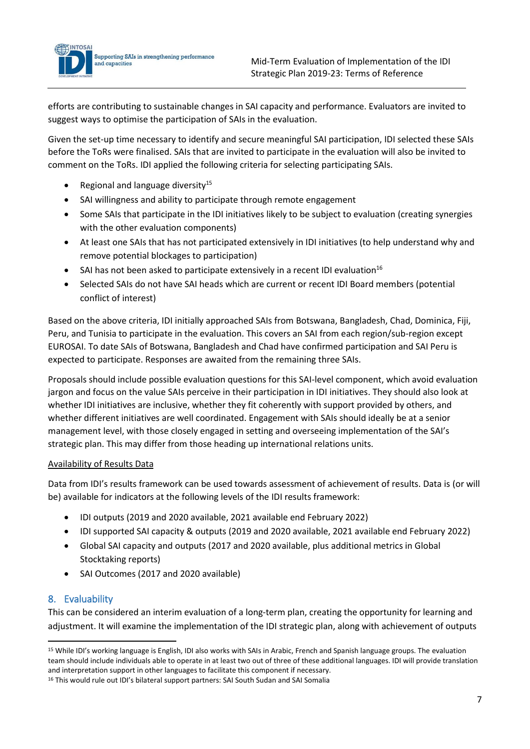

Given the set-up time necessary to identify and secure meaningful SAI participation, IDI selected these SAIs before the ToRs were finalised. SAIs that are invited to participate in the evaluation will also be invited to comment on the ToRs. IDI applied the following criteria for selecting participating SAIs.

Regional and language diversity $15$ 

Supporting SAIs in strengthening performance

**INTOSAL** 

and capacities

- SAI willingness and ability to participate through remote engagement
- Some SAIs that participate in the IDI initiatives likely to be subject to evaluation (creating synergies with the other evaluation components)
- At least one SAIs that has not participated extensively in IDI initiatives (to help understand why and remove potential blockages to participation)
- SAI has not been asked to participate extensively in a recent IDI evaluation<sup>16</sup>
- Selected SAIs do not have SAI heads which are current or recent IDI Board members (potential conflict of interest)

Based on the above criteria, IDI initially approached SAIs from Botswana, Bangladesh, Chad, Dominica, Fiji, Peru, and Tunisia to participate in the evaluation. This covers an SAI from each region/sub-region except EUROSAI. To date SAIs of Botswana, Bangladesh and Chad have confirmed participation and SAI Peru is expected to participate. Responses are awaited from the remaining three SAIs.

Proposals should include possible evaluation questions for this SAI-level component, which avoid evaluation jargon and focus on the value SAIs perceive in their participation in IDI initiatives. They should also look at whether IDI initiatives are inclusive, whether they fit coherently with support provided by others, and whether different initiatives are well coordinated. Engagement with SAIs should ideally be at a senior management level, with those closely engaged in setting and overseeing implementation of the SAI's strategic plan. This may differ from those heading up international relations units.

## Availability of Results Data

Data from IDI's results framework can be used towards assessment of achievement of results. Data is (or will be) available for indicators at the following levels of the IDI results framework:

- IDI outputs (2019 and 2020 available, 2021 available end February 2022)
- IDI supported SAI capacity & outputs (2019 and 2020 available, 2021 available end February 2022)
- Global SAI capacity and outputs (2017 and 2020 available, plus additional metrics in Global Stocktaking reports)
- SAI Outcomes (2017 and 2020 available)

## 8. Evaluability

This can be considered an interim evaluation of a long-term plan, creating the opportunity for learning and adjustment. It will examine the implementation of the IDI strategic plan, along with achievement of outputs

<sup>&</sup>lt;sup>15</sup> While IDI's working language is English, IDI also works with SAIs in Arabic, French and Spanish language groups. The evaluation team should include individuals able to operate in at least two out of three of these additional languages. IDI will provide translation and interpretation support in other languages to facilitate this component if necessary.

<sup>&</sup>lt;sup>16</sup> This would rule out IDI's bilateral support partners: SAI South Sudan and SAI Somalia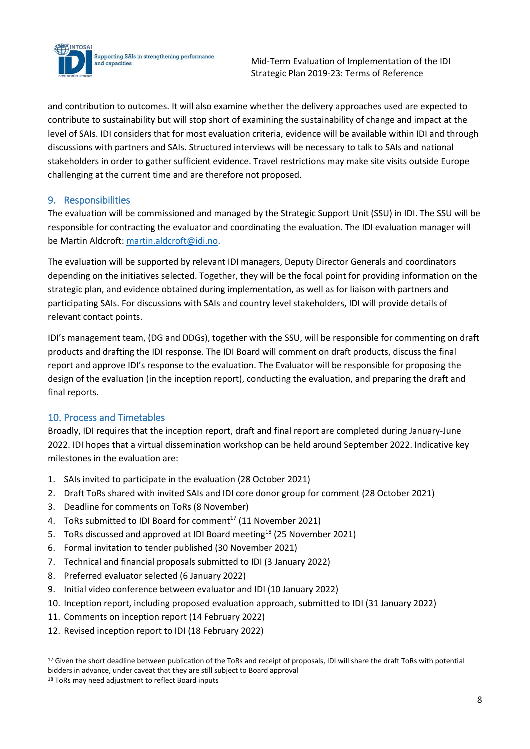

and contribution to outcomes. It will also examine whether the delivery approaches used are expected to contribute to sustainability but will stop short of examining the sustainability of change and impact at the level of SAIs. IDI considers that for most evaluation criteria, evidence will be available within IDI and through discussions with partners and SAIs. Structured interviews will be necessary to talk to SAIs and national stakeholders in order to gather sufficient evidence. Travel restrictions may make site visits outside Europe challenging at the current time and are therefore not proposed.

# 9. Responsibilities

The evaluation will be commissioned and managed by the Strategic Support Unit (SSU) in IDI. The SSU will be responsible for contracting the evaluator and coordinating the evaluation. The IDI evaluation manager will be Martin Aldcroft: [martin.aldcroft@idi.no.](mailto:martin.aldcroft@idi.no)

The evaluation will be supported by relevant IDI managers, Deputy Director Generals and coordinators depending on the initiatives selected. Together, they will be the focal point for providing information on the strategic plan, and evidence obtained during implementation, as well as for liaison with partners and participating SAIs. For discussions with SAIs and country level stakeholders, IDI will provide details of relevant contact points.

IDI's management team, (DG and DDGs), together with the SSU, will be responsible for commenting on draft products and drafting the IDI response. The IDI Board will comment on draft products, discuss the final report and approve IDI's response to the evaluation. The Evaluator will be responsible for proposing the design of the evaluation (in the inception report), conducting the evaluation, and preparing the draft and final reports.

# 10. Process and Timetables

Broadly, IDI requires that the inception report, draft and final report are completed during January-June 2022. IDI hopes that a virtual dissemination workshop can be held around September 2022. Indicative key milestones in the evaluation are:

- 1. SAIs invited to participate in the evaluation (28 October 2021)
- 2. Draft ToRs shared with invited SAIs and IDI core donor group for comment (28 October 2021)
- 3. Deadline for comments on ToRs (8 November)
- 4. ToRs submitted to IDI Board for comment<sup>17</sup> (11 November 2021)
- 5. ToRs discussed and approved at IDI Board meeting<sup>18</sup> (25 November 2021)
- 6. Formal invitation to tender published (30 November 2021)
- 7. Technical and financial proposals submitted to IDI (3 January 2022)
- 8. Preferred evaluator selected (6 January 2022)
- 9. Initial video conference between evaluator and IDI (10 January 2022)
- 10. Inception report, including proposed evaluation approach, submitted to IDI (31 January 2022)
- 11. Comments on inception report (14 February 2022)
- 12. Revised inception report to IDI (18 February 2022)

<sup>&</sup>lt;sup>17</sup> Given the short deadline between publication of the ToRs and receipt of proposals, IDI will share the draft ToRs with potential bidders in advance, under caveat that they are still subject to Board approval

<sup>&</sup>lt;sup>18</sup> ToRs may need adjustment to reflect Board inputs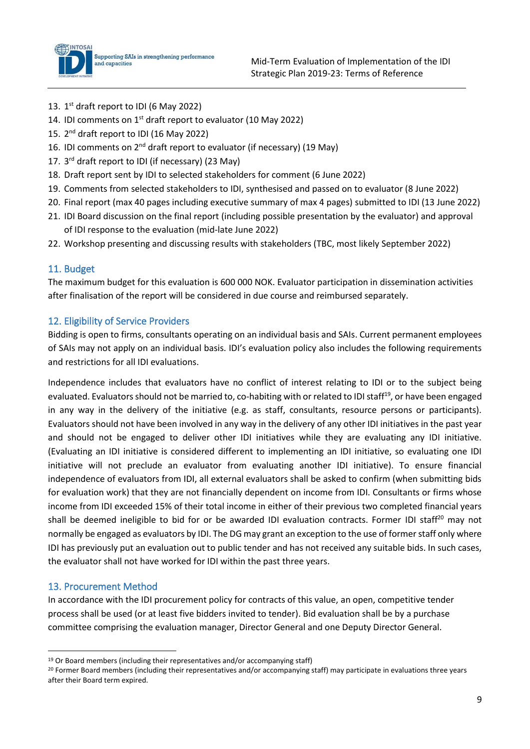

- 13. 1<sup>st</sup> draft report to IDI (6 May 2022)
- 14. IDI comments on  $1<sup>st</sup>$  draft report to evaluator (10 May 2022)
- 15. 2<sup>nd</sup> draft report to IDI (16 May 2022)
- 16. IDI comments on  $2^{nd}$  draft report to evaluator (if necessary) (19 May)
- 17. 3<sup>rd</sup> draft report to IDI (if necessary) (23 May)
- 18. Draft report sent by IDI to selected stakeholders for comment (6 June 2022)
- 19. Comments from selected stakeholders to IDI, synthesised and passed on to evaluator (8 June 2022)
- 20. Final report (max 40 pages including executive summary of max 4 pages) submitted to IDI (13 June 2022)
- 21. IDI Board discussion on the final report (including possible presentation by the evaluator) and approval of IDI response to the evaluation (mid-late June 2022)
- 22. Workshop presenting and discussing results with stakeholders (TBC, most likely September 2022)

#### 11. Budget

The maximum budget for this evaluation is 600 000 NOK. Evaluator participation in dissemination activities after finalisation of the report will be considered in due course and reimbursed separately.

#### 12. Eligibility of Service Providers

Bidding is open to firms, consultants operating on an individual basis and SAIs. Current permanent employees of SAIs may not apply on an individual basis. IDI's evaluation policy also includes the following requirements and restrictions for all IDI evaluations.

Independence includes that evaluators have no conflict of interest relating to IDI or to the subject being evaluated. Evaluators should not be married to, co-habiting with or related to IDI staff<sup>19</sup>, or have been engaged in any way in the delivery of the initiative (e.g. as staff, consultants, resource persons or participants). Evaluators should not have been involved in any way in the delivery of any other IDI initiatives in the past year and should not be engaged to deliver other IDI initiatives while they are evaluating any IDI initiative. (Evaluating an IDI initiative is considered different to implementing an IDI initiative, so evaluating one IDI initiative will not preclude an evaluator from evaluating another IDI initiative). To ensure financial independence of evaluators from IDI, all external evaluators shall be asked to confirm (when submitting bids for evaluation work) that they are not financially dependent on income from IDI. Consultants or firms whose income from IDI exceeded 15% of their total income in either of their previous two completed financial years shall be deemed ineligible to bid for or be awarded IDI evaluation contracts. Former IDI staff<sup>20</sup> may not normally be engaged as evaluators by IDI. The DG may grant an exception to the use of former staff only where IDI has previously put an evaluation out to public tender and has not received any suitable bids. In such cases, the evaluator shall not have worked for IDI within the past three years.

## 13. Procurement Method

In accordance with the IDI procurement policy for contracts of this value, an open, competitive tender process shall be used (or at least five bidders invited to tender). Bid evaluation shall be by a purchase committee comprising the evaluation manager, Director General and one Deputy Director General.

<sup>&</sup>lt;sup>19</sup> Or Board members (including their representatives and/or accompanying staff)

<sup>&</sup>lt;sup>20</sup> Former Board members (including their representatives and/or accompanying staff) may participate in evaluations three years after their Board term expired.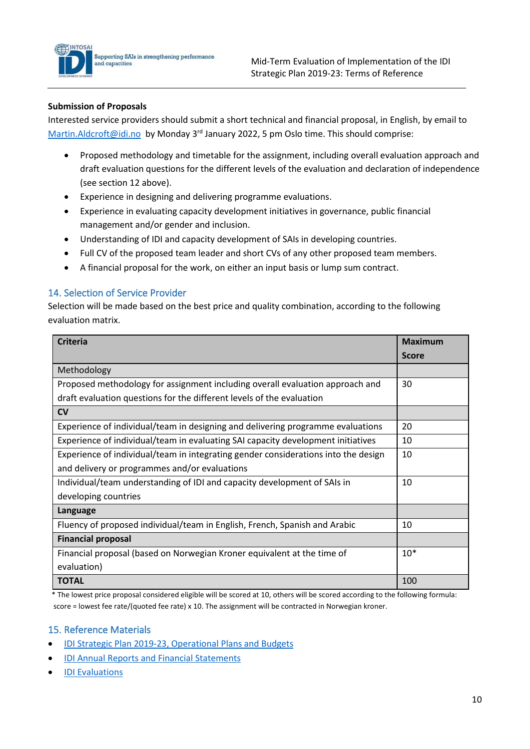

#### **Submission of Proposals**

Interested service providers should submit a short technical and financial proposal, in English, by email to [Martin.Aldcroft@idi.no](mailto:Martin.Aldcroft@idi.no) by Monday 3<sup>rd</sup> January 2022, 5 pm Oslo time. This should comprise:

- Proposed methodology and timetable for the assignment, including overall evaluation approach and draft evaluation questions for the different levels of the evaluation and declaration of independence (see section 12 above).
- Experience in designing and delivering programme evaluations.
- Experience in evaluating capacity development initiatives in governance, public financial management and/or gender and inclusion.
- Understanding of IDI and capacity development of SAIs in developing countries.
- Full CV of the proposed team leader and short CVs of any other proposed team members.
- A financial proposal for the work, on either an input basis or lump sum contract.

#### 14. Selection of Service Provider

Selection will be made based on the best price and quality combination, according to the following evaluation matrix.

| <b>Criteria</b>                                                                    | <b>Maximum</b> |
|------------------------------------------------------------------------------------|----------------|
|                                                                                    | <b>Score</b>   |
| Methodology                                                                        |                |
| Proposed methodology for assignment including overall evaluation approach and      | 30             |
| draft evaluation questions for the different levels of the evaluation              |                |
| $\mathsf{C}\mathsf{V}$                                                             |                |
| Experience of individual/team in designing and delivering programme evaluations    | 20             |
| Experience of individual/team in evaluating SAI capacity development initiatives   | 10             |
| Experience of individual/team in integrating gender considerations into the design | 10             |
| and delivery or programmes and/or evaluations                                      |                |
| Individual/team understanding of IDI and capacity development of SAIs in           | 10             |
| developing countries                                                               |                |
| Language                                                                           |                |
| Fluency of proposed individual/team in English, French, Spanish and Arabic         | 10             |
| <b>Financial proposal</b>                                                          |                |
| Financial proposal (based on Norwegian Kroner equivalent at the time of            | $10*$          |
| evaluation)                                                                        |                |
| <b>TOTAL</b>                                                                       | 100            |

 \* The lowest price proposal considered eligible will be scored at 10, others will be scored according to the following formula: score = lowest fee rate/(quoted fee rate) x 10. The assignment will be contracted in Norwegian kroner.

#### 15. Reference Materials

- [IDI Strategic Plan 2019-23, Operational Plans and Budgets](https://idi.no/about-idi/idi-strategic-plan-and-implementation)
- [IDI Annual Reports and Financial Statements](https://idi.no/results/par-2020)
- **[IDI Evaluations](https://idi.no/our-resources/filters#sort=position&sortdir=desc&attr.cat.value=31&limiter=15&page=1)**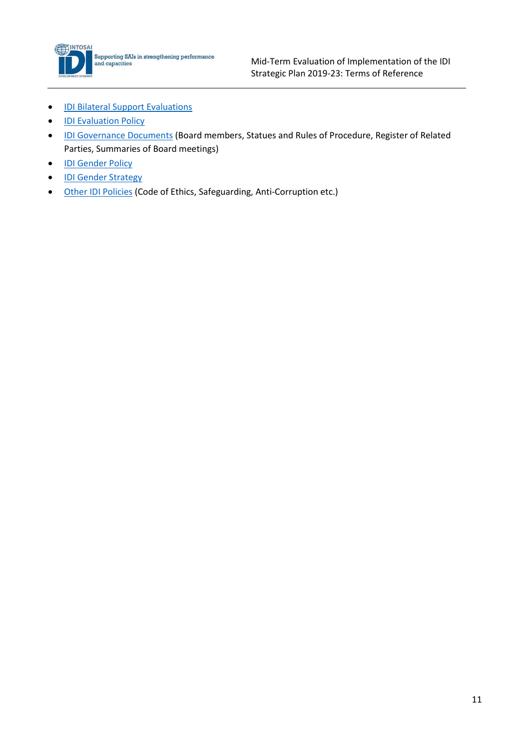

- [IDI Bilateral](https://idi.no/bilateral-support/evaluations) Support Evaluations
- [IDI Evaluation Policy](https://idi.no/elibrary/idi-administrative/policies/1071-idi-evaluation-policy-and-guidance-v1-0-27-nov-2019/file)
- [IDI Governance Documents](https://idi.no/about-idi/idi-governance) (Board members, Statues and Rules of Procedure, Register of Related Parties, Summaries of Board meetings)
- [IDI Gender Policy](https://idi.no/elibrary/idi-administrative/policies/1222-idi-gender-policy-2021/file)
- [IDI Gender Strategy](https://idi.no/cross-cutting-priorities/inclusiveness-and-gender)
- [Other IDI Policies](https://idi.no/our-resources/idi-administrative) (Code of Ethics, Safeguarding, Anti-Corruption etc.)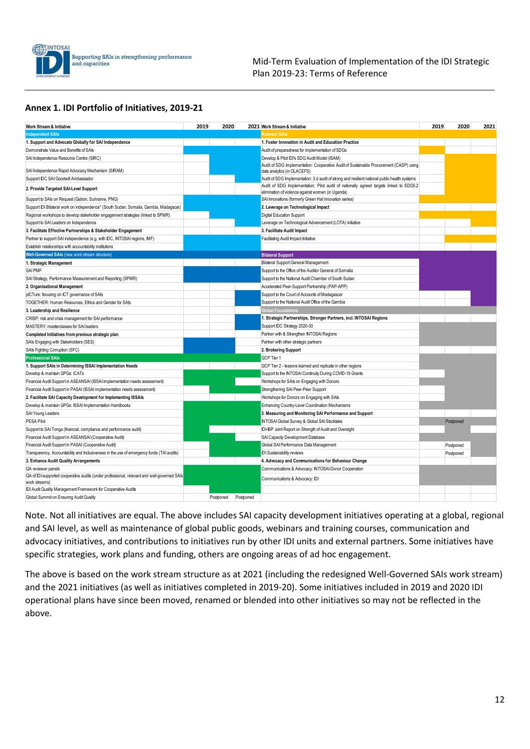

#### Mid-Term Evaluation of Implementation of the IDI Strategic Plan 2019-23: Terms of Reference

#### **Annex 1. IDI Portfolio of Initiatives, 2019-21**

| <b>Work Stream &amp; Initiative</b>                                                                          | 2019 | 2020      |           | 2021 Work Stream & Initiative                                                                                                               | 2019 | 2020      | 2021 |
|--------------------------------------------------------------------------------------------------------------|------|-----------|-----------|---------------------------------------------------------------------------------------------------------------------------------------------|------|-----------|------|
| <b>Independent SAIs</b>                                                                                      |      |           |           | Relevant SAIs                                                                                                                               |      |           |      |
| 1. Support and Advocate Globally for SAI Independence                                                        |      |           |           | 1. Foster Innovation in Audit and Education Practice                                                                                        |      |           |      |
| Demonstrate Value and Benefits of SAIs                                                                       |      |           |           | Audit of preparedness for implementation of SDGs                                                                                            |      |           |      |
| SAI Independence Resource Centre (SIRC)                                                                      |      |           |           | Develop & Pilot IDI's SDG Audit Model (ISAM)                                                                                                |      |           |      |
| SAI Independence Rapid Advocacy Mechanism (SIRAM)                                                            |      |           |           | Audit of SDG Implementation: Cooperative Audit of Sustainable Procurement (CASP) using<br>data analytics (in OLACEFS)                       |      |           |      |
| Support IDC SAI Goodwill Ambassador                                                                          |      |           |           | Audit of SDG Implementation: 3.d audit of strong and resilient national public health systems                                               |      |           |      |
| 2. Provide Targeted SAI-Level Support                                                                        |      |           |           | Audit of SDG Implementation: Pilot audit of nationally agreed targets linked to SDG5.2<br>elimination of violence against women (in Uganda) |      |           |      |
| Support to SAIs on Request (Gabon, Suriname, PNG)                                                            |      |           |           | SAI Innovations (formerly Green Hat innovation series)                                                                                      |      |           |      |
| Support IDI Bilateral work on independence* (South Sudan, Somalia, Gambia, Madagscar)                        |      |           |           | 2. Leverage on Technological Impact                                                                                                         |      |           |      |
| Regional workshops to develop stakeholder engagement strategies (linked to SPMR)                             |      |           |           | Digital Education Support                                                                                                                   |      |           |      |
| Support to SAI Leaders on Independence                                                                       |      |           |           | Leverage on Technological Advancement (LOTA) initiative                                                                                     |      |           |      |
| 3. Facilitate Effective Partnerships & Stakeholder Engagement                                                |      |           |           | 3. Facilitate Audit Impact                                                                                                                  |      |           |      |
| Partner to support SAI independence (e.g. with IDC, INTOSAI regions, IMF)                                    |      |           |           | Facilitating Audit Impact Initiative                                                                                                        |      |           |      |
| Establish relationships with accountability institutions                                                     |      |           |           |                                                                                                                                             |      |           |      |
| Well-Governed SAIs (new work stream structure)                                                               |      |           |           | <b>Bilateral Support</b>                                                                                                                    |      |           |      |
| 1. Strategic Management                                                                                      |      |           |           | Bilateral Support General Management                                                                                                        |      |           |      |
| <b>SAI PMF</b>                                                                                               |      |           |           | Support to the Office of the Auditor General of Somalia                                                                                     |      |           |      |
| SAI Strategy, Performance Measurement and Reporting (SPMR)                                                   |      |           |           | Support to the National Audit Chamber of South Sudan                                                                                        |      |           |      |
| 2. Organisational Management                                                                                 |      |           |           | Accelerated Peer-Support Partnership (PAP-APP)                                                                                              |      |           |      |
| plCTure: focusing on ICT governance of SAIs                                                                  |      |           |           | Support to the Court of Accounts of Madagascar                                                                                              |      |           |      |
| TOGETHER: Human Resources, Ethics and Gender for SAIs                                                        |      |           |           | Support to the National Audit Office of the Gambia                                                                                          |      |           |      |
| 3. Leadership and Resilience                                                                                 |      |           |           | <b>Global Foundations</b>                                                                                                                   |      |           |      |
| CRISP: risk and crisis management for SAI performance                                                        |      |           |           | 1. Strategic Partnerships, Stronger Partners, incl. INTOSAI Regions                                                                         |      |           |      |
| MASTERY: masterclasses for SAI leaders                                                                       |      |           |           | Support IDC Strategy 2020-30                                                                                                                |      |           |      |
| Completed Initiatives from previous strategic plan                                                           |      |           |           | Partner with & Strengthen INTOSAI Regions                                                                                                   |      |           |      |
| SAIs Engaging with Stakeholders (SES)                                                                        |      |           |           | Partner with other strategic partners                                                                                                       |      |           |      |
| SAIs Fighting Corruption (SFC)                                                                               |      |           |           | 2. Brokering Support                                                                                                                        |      |           |      |
| <b>Professional SAIs</b>                                                                                     |      |           |           | GCP Tier 1                                                                                                                                  |      |           |      |
| 1. Support SAIs in Determining ISSAI Implementation Needs                                                    |      |           |           | GCP Tier 2 - lessons learned and replicate in other regions                                                                                 |      |           |      |
| Develop & maintain GPGs: iCATs                                                                               |      |           |           | Support to the INTOSAI Continuity During COVID-19 Grants                                                                                    |      |           |      |
| Financial Audit Support in ASEANSAI (ISSAI implementation needs assessment)                                  |      |           |           | Workshops for SAIs on Engaging with Donors                                                                                                  |      |           |      |
| Financial Audit Support in PASAI (ISSAI implementation needs assessment)                                     |      |           |           | Strengthening SAI Peer-Peer Support                                                                                                         |      |           |      |
| 2. Facilitate SAI Capacity Development for Implementing ISSAIs                                               |      |           |           | Workshops for Donors on Engaging with SAIs                                                                                                  |      |           |      |
| Develop & maintain GPGs: ISSAI Implementation Handbooks                                                      |      |           |           | Enhancing Country-Level Coordination Mechanisms                                                                                             |      |           |      |
| SAI Young Leaders                                                                                            |      |           |           | 3. Measuring and Monitoring SAI Performance and Support                                                                                     |      |           |      |
| <b>PESA Pilot</b>                                                                                            |      |           |           | INTOSAI Global Survey & Global SAI Stocktake                                                                                                |      | Postponed |      |
| Support to SAI Tonga (financial, compliance and performance audit)                                           |      |           |           | IDI-IBP Joint Report on Strength of Audit and Oversight                                                                                     |      |           |      |
| Financial Audit Support in ASEANSAI (Cooperative Audit)                                                      |      |           |           | SAI Capacity Development Database                                                                                                           |      |           |      |
| Financial Audit Support in PASAI (Cooperative Audit)                                                         |      |           |           | Global SAI Performance Data Management                                                                                                      |      | Postponed |      |
| Transparency, Accountability and Inclusiveness in the use of emergency funds (TAI audits)                    |      |           |           | <b>IDI</b> Sustainability reviews                                                                                                           |      | Postponed |      |
| 3. Enhance Audit Quality Arrangements                                                                        |      |           |           | 4. Advocacy and Communications for Behaviour Change                                                                                         |      |           |      |
| QA reviewer panels                                                                                           |      |           |           | Communications & Advocacy: INTOSAI-Donor Cooperation                                                                                        |      |           |      |
| QA of IDI-supported cooperative audits (under professional, relevant and well-governed SAIs<br>work streams) |      |           |           | Communications & Advocacy: IDI                                                                                                              |      |           |      |
| IDI Audit Quality Management Framework for Cooperative Audits                                                |      |           |           |                                                                                                                                             |      |           |      |
| Global Summit on Ensuring Audit Quality                                                                      |      | Postponed | Postponed |                                                                                                                                             |      |           |      |

Note. Not all initiatives are equal. The above includes SAI capacity development initiatives operating at a global, regional and SAI level, as well as maintenance of global public goods, webinars and training courses, communication and advocacy initiatives, and contributions to initiatives run by other IDI units and external partners. Some initiatives have specific strategies, work plans and funding, others are ongoing areas of ad hoc engagement.

The above is based on the work stream structure as at 2021 (including the redesigned Well-Governed SAIs work stream) and the 2021 initiatives (as well as initiatives completed in 2019-20). Some initiatives included in 2019 and 2020 IDI operational plans have since been moved, renamed or blended into other initiatives so may not be reflected in the above.